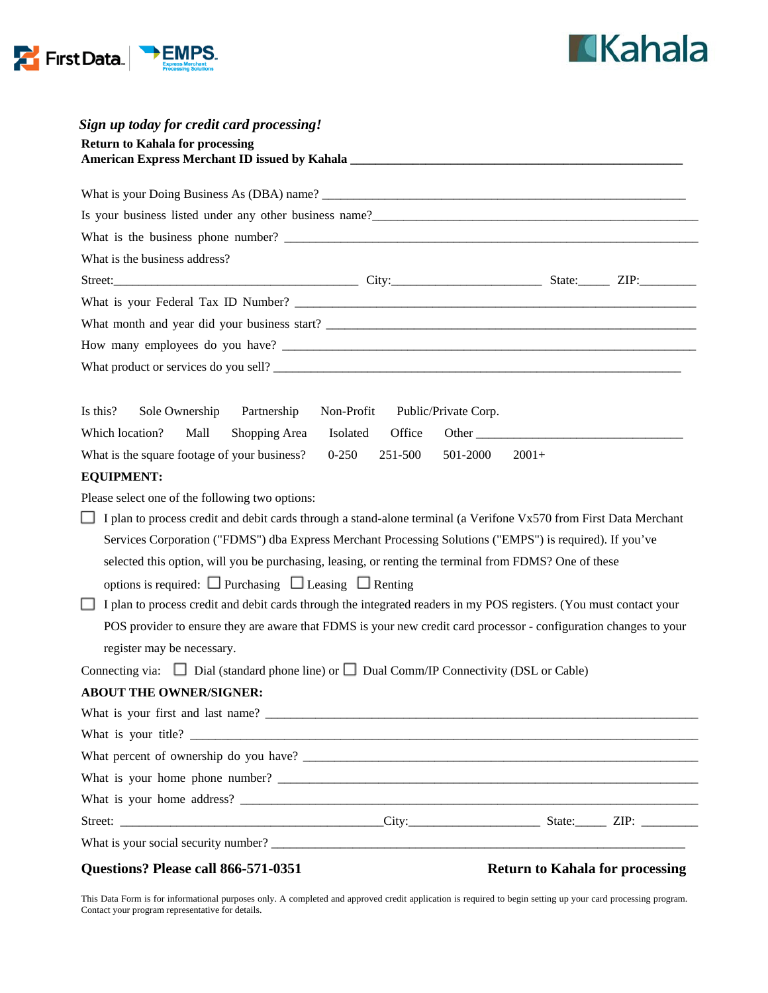



| Sign up today for credit card processing!                                                                                                                                                                                              |                                    |                                                                                                                                                                                                                                |  |  |  |
|----------------------------------------------------------------------------------------------------------------------------------------------------------------------------------------------------------------------------------------|------------------------------------|--------------------------------------------------------------------------------------------------------------------------------------------------------------------------------------------------------------------------------|--|--|--|
| <b>Return to Kahala for processing</b>                                                                                                                                                                                                 |                                    |                                                                                                                                                                                                                                |  |  |  |
|                                                                                                                                                                                                                                        |                                    |                                                                                                                                                                                                                                |  |  |  |
|                                                                                                                                                                                                                                        |                                    |                                                                                                                                                                                                                                |  |  |  |
| Is your business listed under any other business name?<br><u>Letting and the contract of the set of the set of the set of the set of the set of the set of the set of the set of the set of the set of the set of the set of the s</u> |                                    |                                                                                                                                                                                                                                |  |  |  |
|                                                                                                                                                                                                                                        |                                    |                                                                                                                                                                                                                                |  |  |  |
| What is the business address?                                                                                                                                                                                                          |                                    |                                                                                                                                                                                                                                |  |  |  |
|                                                                                                                                                                                                                                        |                                    |                                                                                                                                                                                                                                |  |  |  |
|                                                                                                                                                                                                                                        |                                    |                                                                                                                                                                                                                                |  |  |  |
|                                                                                                                                                                                                                                        |                                    |                                                                                                                                                                                                                                |  |  |  |
|                                                                                                                                                                                                                                        |                                    |                                                                                                                                                                                                                                |  |  |  |
|                                                                                                                                                                                                                                        |                                    |                                                                                                                                                                                                                                |  |  |  |
|                                                                                                                                                                                                                                        |                                    |                                                                                                                                                                                                                                |  |  |  |
| Is this?<br>Sole Ownership<br>Partnership                                                                                                                                                                                              | Non-Profit<br>Public/Private Corp. |                                                                                                                                                                                                                                |  |  |  |
| Which location?<br>Mall<br>Shopping Area                                                                                                                                                                                               | Isolated<br>Office                 | Other than the contract of the contract of the contract of the contract of the contract of the contract of the contract of the contract of the contract of the contract of the contract of the contract of the contract of the |  |  |  |
| What is the square footage of your business?                                                                                                                                                                                           | $0 - 250$<br>251-500<br>501-2000   | $2001+$                                                                                                                                                                                                                        |  |  |  |
| <b>EQUIPMENT:</b>                                                                                                                                                                                                                      |                                    |                                                                                                                                                                                                                                |  |  |  |
| Please select one of the following two options:                                                                                                                                                                                        |                                    |                                                                                                                                                                                                                                |  |  |  |
| I plan to process credit and debit cards through a stand-alone terminal (a Verifone Vx570 from First Data Merchant<br>ப                                                                                                                |                                    |                                                                                                                                                                                                                                |  |  |  |
| Services Corporation ("FDMS") dba Express Merchant Processing Solutions ("EMPS") is required). If you've                                                                                                                               |                                    |                                                                                                                                                                                                                                |  |  |  |
| selected this option, will you be purchasing, leasing, or renting the terminal from FDMS? One of these                                                                                                                                 |                                    |                                                                                                                                                                                                                                |  |  |  |
| options is required: $\Box$ Purchasing $\Box$ Leasing $\Box$ Renting                                                                                                                                                                   |                                    |                                                                                                                                                                                                                                |  |  |  |
| I plan to process credit and debit cards through the integrated readers in my POS registers. (You must contact your                                                                                                                    |                                    |                                                                                                                                                                                                                                |  |  |  |
| POS provider to ensure they are aware that FDMS is your new credit card processor - configuration changes to your                                                                                                                      |                                    |                                                                                                                                                                                                                                |  |  |  |
| register may be necessary.                                                                                                                                                                                                             |                                    |                                                                                                                                                                                                                                |  |  |  |
| Connecting via: $\Box$ Dial (standard phone line) or $\Box$ Dual Comm/IP Connectivity (DSL or Cable)                                                                                                                                   |                                    |                                                                                                                                                                                                                                |  |  |  |
| <b>ABOUT THE OWNER/SIGNER:</b>                                                                                                                                                                                                         |                                    |                                                                                                                                                                                                                                |  |  |  |
|                                                                                                                                                                                                                                        |                                    |                                                                                                                                                                                                                                |  |  |  |
|                                                                                                                                                                                                                                        |                                    |                                                                                                                                                                                                                                |  |  |  |
|                                                                                                                                                                                                                                        |                                    |                                                                                                                                                                                                                                |  |  |  |
|                                                                                                                                                                                                                                        |                                    |                                                                                                                                                                                                                                |  |  |  |
|                                                                                                                                                                                                                                        |                                    |                                                                                                                                                                                                                                |  |  |  |
|                                                                                                                                                                                                                                        |                                    |                                                                                                                                                                                                                                |  |  |  |
|                                                                                                                                                                                                                                        |                                    |                                                                                                                                                                                                                                |  |  |  |

#### **Questions? Please call 866-571-0351 Return to Kahala for processing**

This Data Form is for informational purposes only. A completed and approved credit application is required to begin setting up your card processing program. Contact your program representative for details.